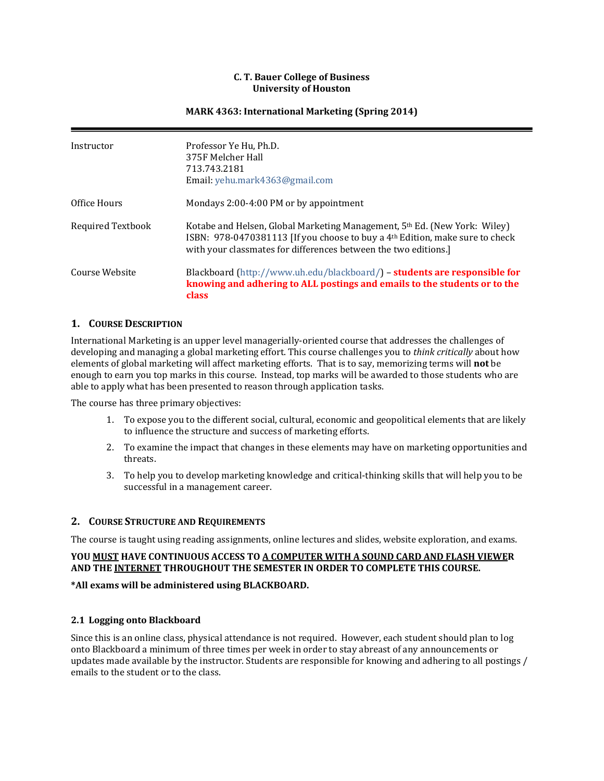#### **C. T. Bauer College of Business University of Houston**

#### **MARK 4363: International Marketing (Spring 2014)**

| Instructor               | Professor Ye Hu, Ph.D.<br>375F Melcher Hall<br>713.743.2181<br>Email: yehu.mark4363@gmail.com                                                                                                                                            |
|--------------------------|------------------------------------------------------------------------------------------------------------------------------------------------------------------------------------------------------------------------------------------|
| Office Hours             | Mondays 2:00-4:00 PM or by appointment                                                                                                                                                                                                   |
| <b>Required Textbook</b> | Kotabe and Helsen, Global Marketing Management, 5th Ed. (New York: Wiley)<br>ISBN: 978-0470381113 [If you choose to buy a 4 <sup>th</sup> Edition, make sure to check<br>with your classmates for differences between the two editions.] |
| Course Website           | Blackboard (http://www.uh.edu/blackboard/) - students are responsible for<br>knowing and adhering to ALL postings and emails to the students or to the<br>class                                                                          |

#### **1. COURSE DESCRIPTION**

International Marketing is an upper level managerially-oriented course that addresses the challenges of developing and managing a global marketing effort. This course challenges you to *think critically* about how elements of global marketing will affect marketing efforts. That is to say, memorizing terms will **not** be enough to earn you top marks in this course. Instead, top marks will be awarded to those students who are able to apply what has been presented to reason through application tasks.

The course has three primary objectives:

- 1. To expose you to the different social, cultural, economic and geopolitical elements that are likely to influence the structure and success of marketing efforts.
- 2. To examine the impact that changes in these elements may have on marketing opportunities and threats.
- 3. To help you to develop marketing knowledge and critical-thinking skills that will help you to be successful in a management career.

#### **2. COURSE STRUCTURE AND REQUIREMENTS**

The course is taught using reading assignments, online lectures and slides, website exploration, and exams.

#### **YOU MUST HAVE CONTINUOUS ACCESS TO A COMPUTER WITH A SOUND CARD AND FLASH VIEWER AND THE INTERNET THROUGHOUT THE SEMESTER IN ORDER TO COMPLETE THIS COURSE.**

#### **\*All exams will be administered using BLACKBOARD.**

#### **2.1 Logging onto Blackboard**

Since this is an online class, physical attendance is not required. However, each student should plan to log onto Blackboard a minimum of three times per week in order to stay abreast of any announcements or updates made available by the instructor. Students are responsible for knowing and adhering to all postings / emails to the student or to the class.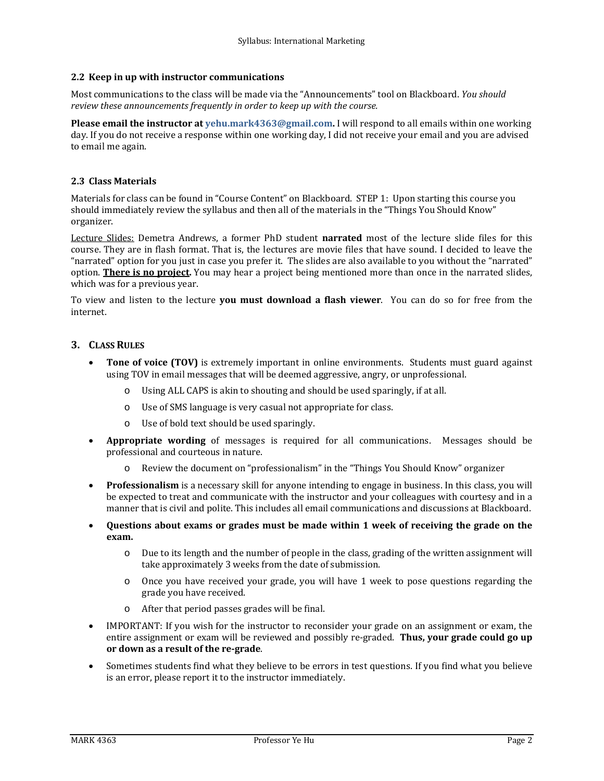#### **2.2 Keep in up with instructor communications**

Most communications to the class will be made via the "Announcements" tool on Blackboard. *You should review these announcements frequently in order to keep up with the course.*

**Please email the instructor at [yehu.mark4363@gmail.com.](mailto:yehu.mark4363@gmail.com)** I will respond to all emails within one working day. If you do not receive a response within one working day, I did not receive your email and you are advised to email me again.

#### **2.3 Class Materials**

Materials for class can be found in "Course Content" on Blackboard. STEP 1: Upon starting this course you should immediately review the syllabus and then all of the materials in the "Things You Should Know" organizer.

Lecture Slides: Demetra Andrews, a former PhD student **narrated** most of the lecture slide files for this course. They are in flash format. That is, the lectures are movie files that have sound. I decided to leave the "narrated" option for you just in case you prefer it. The slides are also available to you without the "narrated" option. **There is no project.** You may hear a project being mentioned more than once in the narrated slides, which was for a previous year.

To view and listen to the lecture **you must download a flash viewer**. You can do so for free from the internet.

#### **3. CLASS RULES**

- **Tone of voice (TOV)** is extremely important in online environments. Students must guard against using TOV in email messages that will be deemed aggressive, angry, or unprofessional.
	- o Using ALL CAPS is akin to shouting and should be used sparingly, if at all.
	- o Use of SMS language is very casual not appropriate for class.
	- o Use of bold text should be used sparingly.
- **Appropriate wording** of messages is required for all communications. Messages should be professional and courteous in nature.
	- Review the document on "professionalism" in the "Things You Should Know" organizer
- **Professionalism** is a necessary skill for anyone intending to engage in business. In this class, you will be expected to treat and communicate with the instructor and your colleagues with courtesy and in a manner that is civil and polite. This includes all email communications and discussions at Blackboard.
- **Questions about exams or grades must be made within 1 week of receiving the grade on the exam.** 
	- o Due to its length and the number of people in the class, grading of the written assignment will take approximately 3 weeks from the date of submission.
	- o Once you have received your grade, you will have 1 week to pose questions regarding the grade you have received.
	- o After that period passes grades will be final.
- IMPORTANT: If you wish for the instructor to reconsider your grade on an assignment or exam, the entire assignment or exam will be reviewed and possibly re-graded. **Thus, your grade could go up or down as a result of the re-grade**.
- Sometimes students find what they believe to be errors in test questions. If you find what you believe is an error, please report it to the instructor immediately.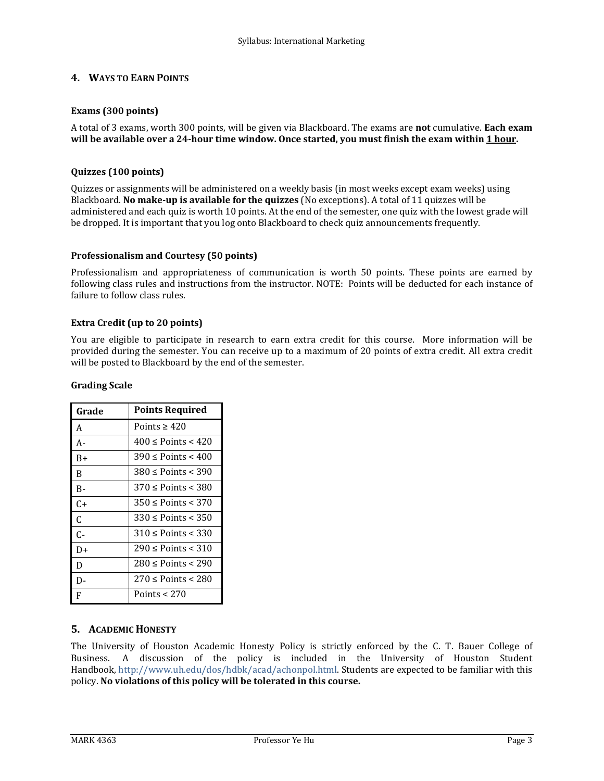## **4. WAYS TO EARN POINTS**

#### **Exams (300 points)**

A total of 3 exams, worth 300 points, will be given via Blackboard. The exams are **not** cumulative. **Each exam will be available over a 24-hour time window. Once started, you must finish the exam within 1 hour.** 

#### **Quizzes (100 points)**

Quizzes or assignments will be administered on a weekly basis (in most weeks except exam weeks) using Blackboard. **No make-up is available for the quizzes** (No exceptions). A total of 11 quizzes will be administered and each quiz is worth 10 points. At the end of the semester, one quiz with the lowest grade will be dropped. It is important that you log onto Blackboard to check quiz announcements frequently.

#### **Professionalism and Courtesy (50 points)**

Professionalism and appropriateness of communication is worth 50 points. These points are earned by following class rules and instructions from the instructor. NOTE: Points will be deducted for each instance of failure to follow class rules.

### **Extra Credit (up to 20 points)**

You are eligible to participate in research to earn extra credit for this course. More information will be provided during the semester. You can receive up to a maximum of 20 points of extra credit. All extra credit will be posted to Blackboard by the end of the semester.

| Grade     | <b>Points Required</b>     |
|-----------|----------------------------|
| A         | Points $\geq 420$          |
| $A-$      | $400 \le$ Points $< 420$   |
| B+        | $390 \le$ Points < 400     |
| B         | $380 \le$ Points $\lt 390$ |
| <b>B-</b> | $370 \le$ Points < 380     |
| C+        | $350 \le$ Points $\le$ 370 |
| C         | $330 \le$ Points $\le$ 350 |
| C-        | $310 \le$ Points < 330     |
| D+        | $290 \le$ Points < 310     |
| D         | $280 \le$ Points < 290     |
| D-        | $270 \le$ Points < 280     |
| F         | Points $<$ 270             |

#### **Grading Scale**

## **5. ACADEMIC HONESTY**

The University of Houston Academic Honesty Policy is strictly enforced by the C. T. Bauer College of Business. A discussion of the policy is included in the University of Houston Student Handbook[, http://www.uh.edu/dos/hdbk/acad/achonpol.html.](http://www.uh.edu/dos/hdbk/acad/achonpol.html) Students are expected to be familiar with this policy. **No violations of this policy will be tolerated in this course.**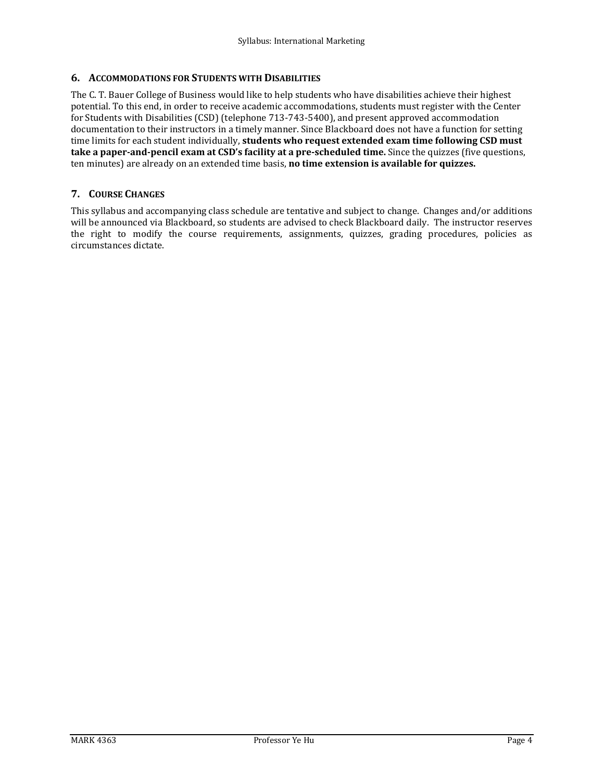## **6. ACCOMMODATIONS FOR STUDENTS WITH DISABILITIES**

The C. T. Bauer College of Business would like to help students who have disabilities achieve their highest potential. To this end, in order to receive academic accommodations, students must register with the Center for Students with Disabilities (CSD) (telephone 713-743-5400), and present approved accommodation documentation to their instructors in a timely manner. Since Blackboard does not have a function for setting time limits for each student individually, **students who request extended exam time following CSD must take a paper-and-pencil exam at CSD's facility at a pre-scheduled time.** Since the quizzes (five questions, ten minutes) are already on an extended time basis, **no time extension is available for quizzes.**

## **7. COURSE CHANGES**

This syllabus and accompanying class schedule are tentative and subject to change. Changes and/or additions will be announced via Blackboard, so students are advised to check Blackboard daily. The instructor reserves the right to modify the course requirements, assignments, quizzes, grading procedures, policies as circumstances dictate.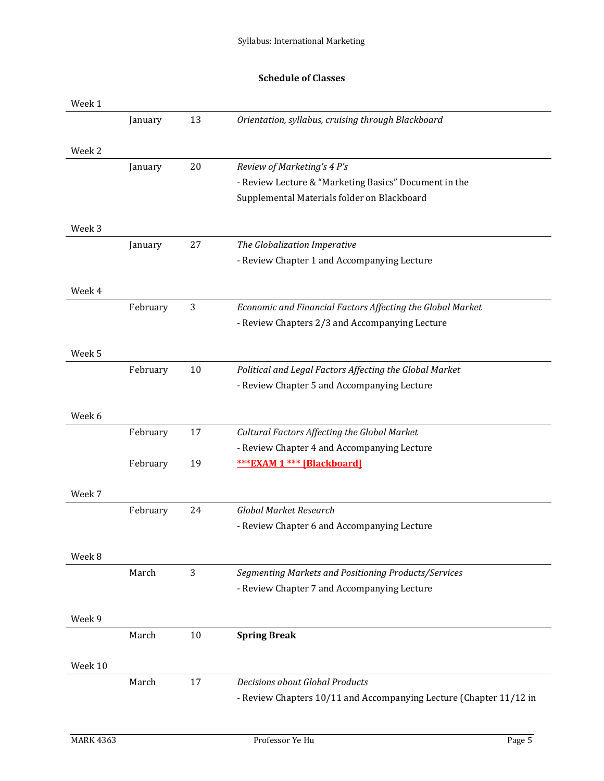# **Schedule of Classes**

| Week 1  |          |    |                                                                    |
|---------|----------|----|--------------------------------------------------------------------|
|         | January  | 13 | Orientation, syllabus, cruising through Blackboard                 |
|         |          |    |                                                                    |
| Week 2  |          |    |                                                                    |
|         | January  | 20 | Review of Marketing's 4 P's                                        |
|         |          |    | - Review Lecture & "Marketing Basics" Document in the              |
|         |          |    | Supplemental Materials folder on Blackboard                        |
|         |          |    |                                                                    |
| Week 3  |          |    |                                                                    |
|         | January  | 27 | The Globalization Imperative                                       |
|         |          |    | - Review Chapter 1 and Accompanying Lecture                        |
| Week 4  |          |    |                                                                    |
|         | February | 3  | Economic and Financial Factors Affecting the Global Market         |
|         |          |    | - Review Chapters 2/3 and Accompanying Lecture                     |
|         |          |    |                                                                    |
| Week 5  |          |    |                                                                    |
|         | February | 10 | Political and Legal Factors Affecting the Global Market            |
|         |          |    | - Review Chapter 5 and Accompanying Lecture                        |
|         |          |    |                                                                    |
| Week 6  |          |    |                                                                    |
|         | February | 17 | Cultural Factors Affecting the Global Market                       |
|         |          |    | - Review Chapter 4 and Accompanying Lecture                        |
|         | February | 19 | <b>*** EXAM 1 *** [Blackboard]</b>                                 |
|         |          |    |                                                                    |
| Week 7  |          |    |                                                                    |
|         | February | 24 | Global Market Research                                             |
|         |          |    | - Review Chapter 6 and Accompanying Lecture                        |
|         |          |    |                                                                    |
| Week 8  |          |    |                                                                    |
|         | March    | 3  | Segmenting Markets and Positioning Products/Services               |
|         |          |    | - Review Chapter 7 and Accompanying Lecture                        |
|         |          |    |                                                                    |
| Week 9  | March    | 10 | <b>Spring Break</b>                                                |
|         |          |    |                                                                    |
| Week 10 |          |    |                                                                    |
|         | March    | 17 | <b>Decisions about Global Products</b>                             |
|         |          |    | - Review Chapters 10/11 and Accompanying Lecture (Chapter 11/12 in |
|         |          |    |                                                                    |